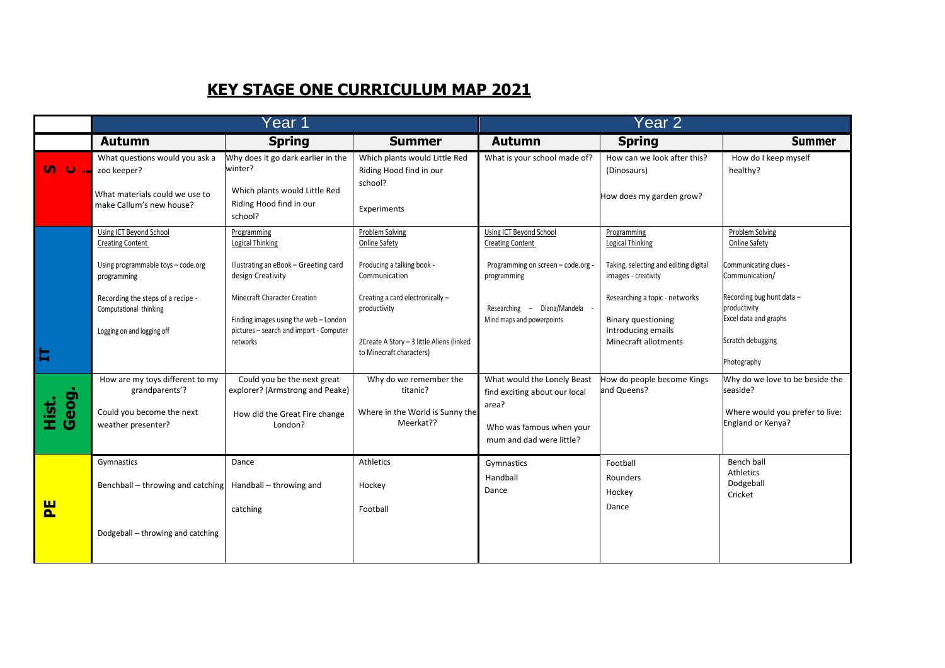## **KEY STAGE ONE CURRICULUM MAP 2021**

|                      | Year 1                                                                                                                                                                                               |                                                                                                                                                                                                                                             |                                                                                                                                                                                                              | Year 2                                                                                                                                                                |                                                                                                                                                                                                                     |                                                                                                                                                                                       |  |
|----------------------|------------------------------------------------------------------------------------------------------------------------------------------------------------------------------------------------------|---------------------------------------------------------------------------------------------------------------------------------------------------------------------------------------------------------------------------------------------|--------------------------------------------------------------------------------------------------------------------------------------------------------------------------------------------------------------|-----------------------------------------------------------------------------------------------------------------------------------------------------------------------|---------------------------------------------------------------------------------------------------------------------------------------------------------------------------------------------------------------------|---------------------------------------------------------------------------------------------------------------------------------------------------------------------------------------|--|
|                      | <b>Autumn</b>                                                                                                                                                                                        | <b>Spring</b>                                                                                                                                                                                                                               | <b>Summer</b>                                                                                                                                                                                                | <b>Autumn</b>                                                                                                                                                         | <b>Spring</b>                                                                                                                                                                                                       | <b>Summer</b>                                                                                                                                                                         |  |
| <b>u</b> u           | What questions would you ask a<br>zoo keeper?<br>What materials could we use to<br>make Callum's new house?                                                                                          | Why does it go dark earlier in the<br>winter?<br>Which plants would Little Red<br>Riding Hood find in our<br>school?                                                                                                                        | Which plants would Little Red<br>Riding Hood find in our<br>school?<br>Experiments                                                                                                                           | What is your school made of?                                                                                                                                          | How can we look after this?<br>(Dinosaurs)<br>How does my garden grow?                                                                                                                                              | How do I keep myself<br>healthy?                                                                                                                                                      |  |
| Ħ                    | Using ICT Beyond School<br><b>Creating Content</b><br>Using programmable toys - code.org<br>programming<br>Recording the steps of a recipe -<br>Computational thinking<br>Logging on and logging off | Programming<br><b>Logical Thinking</b><br>Illustrating an eBook - Greeting card<br>design Creativity<br><b>Minecraft Character Creation</b><br>Finding images using the web - London<br>pictures - search and import - Computer<br>networks | Problem Solving<br>Online Safety<br>Producing a talking book -<br>Communication<br>Creating a card electronically -<br>productivity<br>2Create A Story - 3 little Aliens (linked<br>to Minecraft characters) | Using ICT Beyond School<br><b>Creating Content</b><br>Programming on screen - code.org -<br>programming<br>Researching - Diana/Mandela -<br>Mind maps and powerpoints | Programming<br><b>Logical Thinking</b><br>Taking, selecting and editing digital<br>images - creativity<br>Researching a topic - networks<br><b>Binary questioning</b><br>Introducing emails<br>Minecraft allotments | Problem Solving<br>Online Safety<br>Communicating clues -<br>Communication/<br>Recording bug hunt data -<br>productivity<br>Excel data and graphs<br>Scratch debugging<br>Photography |  |
| Geog.<br><u>ist.</u> | How are my toys different to my<br>grandparents'?<br>Could you become the next<br>weather presenter?                                                                                                 | Could you be the next great<br>explorer? (Armstrong and Peake)<br>How did the Great Fire change<br>London?                                                                                                                                  | Why do we remember the<br>titanic?<br>Where in the World is Sunny the<br>Meerkat??                                                                                                                           | What would the Lonely Beast<br>find exciting about our local<br>area?<br>Who was famous when your<br>mum and dad were little?                                         | How do people become Kings<br>and Queens?                                                                                                                                                                           | Why do we love to be beside the<br>seaside?<br>Where would you prefer to live:<br>England or Kenya?                                                                                   |  |
| 뿐                    | Gymnastics<br>Benchball – throwing and catching<br>Dodgeball - throwing and catching                                                                                                                 | Dance<br>Handball - throwing and<br>catching                                                                                                                                                                                                | Athletics<br>Hockey<br>Football                                                                                                                                                                              | Gymnastics<br>Handball<br>Dance                                                                                                                                       | Football<br>Rounders<br>Hockey<br>Dance                                                                                                                                                                             | Bench ball<br>Athletics<br>Dodgeball<br>Cricket                                                                                                                                       |  |